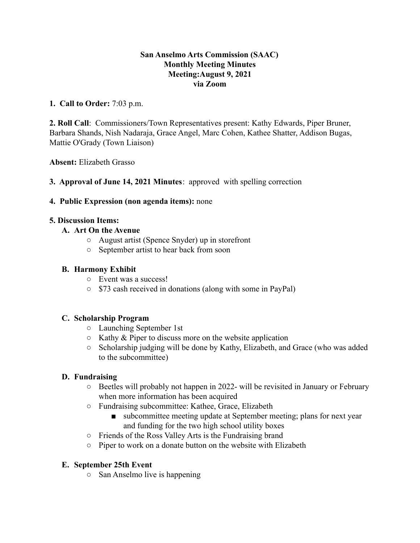### **San Anselmo Arts Commission (SAAC) Monthly Meeting Minutes Meeting:August 9, 2021 via Zoom**

### **1. Call to Order:** 7:03 p.m.

**2. Roll Call**: Commissioners/Town Representatives present: Kathy Edwards, Piper Bruner, Barbara Shands, Nish Nadaraja, Grace Angel, Marc Cohen, Kathee Shatter, Addison Bugas, Mattie O'Grady (Town Liaison)

**Absent:** Elizabeth Grasso

**3. Approval of June 14, 2021 Minutes**: approved with spelling correction

#### **4. Public Expression (non agenda items):** none

#### **5. Discussion Items:**

## **A. Art On the Avenue**

- August artist (Spence Snyder) up in storefront
- September artist to hear back from soon

## **B. Harmony Exhibit**

- Event was a success!
- \$73 cash received in donations (along with some in PayPal)

#### **C. Scholarship Program**

- Launching September 1st
- $\circ$  Kathy & Piper to discuss more on the website application
- Scholarship judging will be done by Kathy, Elizabeth, and Grace (who was added to the subcommittee)

# **D. Fundraising**

- Beetles will probably not happen in 2022- will be revisited in January or February when more information has been acquired
- Fundraising subcommittee: Kathee, Grace, Elizabeth
	- subcommittee meeting update at September meeting; plans for next year and funding for the two high school utility boxes
- Friends of the Ross Valley Arts is the Fundraising brand
- Piper to work on a donate button on the website with Elizabeth

#### **E. September 25th Event**

○ San Anselmo live is happening